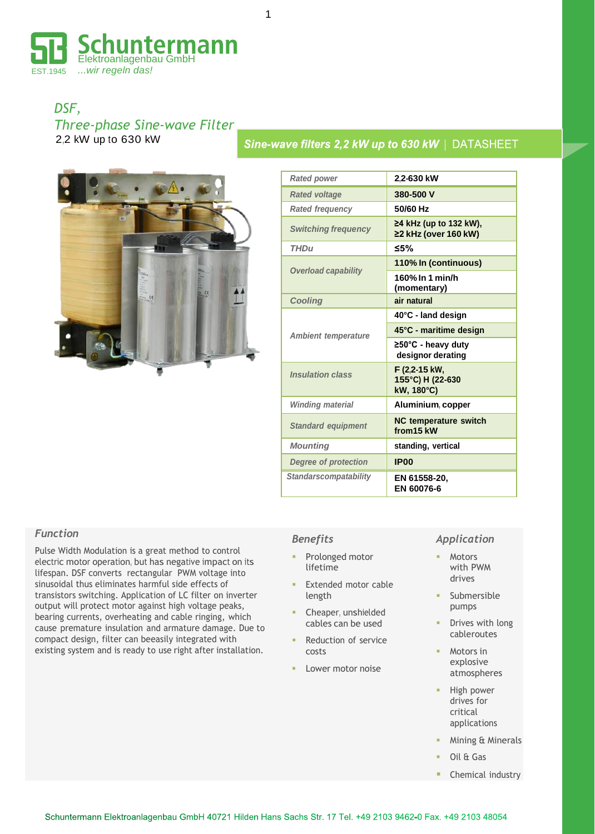

*DSF, Three-phase Sine-wave Filter* 2,2 kW up to 630 kW



| <b>Rated power</b>           | 2.2-630 kW                                            |  |  |  |  |  |  |  |
|------------------------------|-------------------------------------------------------|--|--|--|--|--|--|--|
| <b>Rated voltage</b>         | 380-500 V                                             |  |  |  |  |  |  |  |
| <b>Rated frequency</b>       | 50/60 Hz                                              |  |  |  |  |  |  |  |
| <b>Switching frequency</b>   | ≥4 kHz (up to 132 kW),<br>≥2 kHz (over 160 kW)        |  |  |  |  |  |  |  |
| <b>THDu</b>                  | ≤5%                                                   |  |  |  |  |  |  |  |
| <b>Overload capability</b>   | 110% In (continuous)                                  |  |  |  |  |  |  |  |
|                              | 160% In 1 min/h<br>(momentary)                        |  |  |  |  |  |  |  |
| <b>Cooling</b>               | air natural                                           |  |  |  |  |  |  |  |
|                              | 40°C - land design                                    |  |  |  |  |  |  |  |
| <b>Ambient temperature</b>   | 45°C - maritime design                                |  |  |  |  |  |  |  |
|                              | $\geq 50^{\circ}$ C - heavy duty<br>designor derating |  |  |  |  |  |  |  |
| <b>Insulation class</b>      | F (2.2-15 kW,<br>155°C) H (22-630<br>kW, 180°C)       |  |  |  |  |  |  |  |
| <b>Winding material</b>      | Aluminium, copper                                     |  |  |  |  |  |  |  |
| <b>Standard equipment</b>    | <b>NC temperature switch</b><br>from 15 kW            |  |  |  |  |  |  |  |
| <b>Mounting</b>              | standing, vertical                                    |  |  |  |  |  |  |  |
| <b>Degree of protection</b>  | <b>IP00</b>                                           |  |  |  |  |  |  |  |
| <b>Standarscompatability</b> | EN 61558-20.<br>EN 60076-6                            |  |  |  |  |  |  |  |

Sine-wave filters 2,2 kW up to 630 kW | DATASHEET

### *Function*

Pulse Width Modulation is a great method to control electric motor operation, but has negative impact on its lifespan. DSF converts rectangular PWM voltage into sinusoidal thus eliminates harmful side effects of transistors switching. Application of LC filter on inverter output will protect motor against high voltage peaks, bearing currents, overheating and cable ringing, which cause premature insulation and armature damage. Due to compact design, filter can beeasily integrated with existing system and is ready to use right after installation.

### *Benefits*

- Prolonged motor lifetime
- Extended motor cable length
- Cheaper, unshielded cables can be used
- Reduction of service costs
- Lower motor noise

#### *Application*

- Motors with PWM drives
- Submersible pumps
- Drives with long cableroutes
- Motors in explosive atmospheres
- High power drives for critical applications
- Mining & Minerals
- Oil & Gas
- Chemical industry

1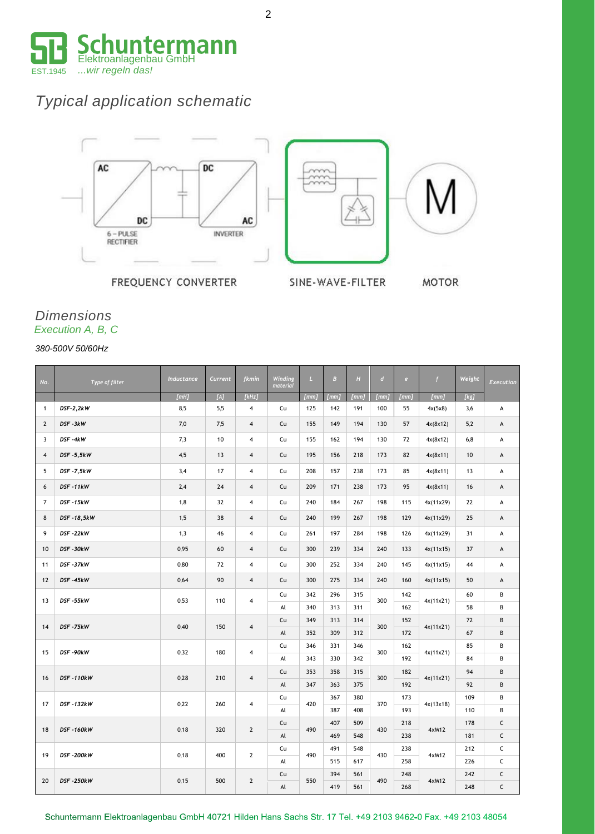

# *Typical application schematic*



FREQUENCY CONVERTER

SINE-WAVE-FILTER

**MOTOR** 

# *Dimensions Execution A, B, C*

*380-500V 50/60Hz*

| No.            | Type of filter   | Inductance | Current | fkmin                   | Winding<br>material | $\mathbf{L}$ | $\overline{B}$ | H    | $\boldsymbol{d}$ | e    | f         | Weight | <b>Execution</b> |
|----------------|------------------|------------|---------|-------------------------|---------------------|--------------|----------------|------|------------------|------|-----------|--------|------------------|
|                |                  | [mH]       | [A]     | [kHz]                   |                     | [mm]         | [mm]           | [mm] | [mm]             | [mm] | [mm]      | [kg]   |                  |
| $\mathbf{1}$   | DSF-2,2kW        | 8,5        | 5,5     | 4                       | Cu                  | 125          | 142            | 191  | 100              | 55   | 4x(5x8)   | 3,6    | А                |
| $\overline{2}$ | DSF-3kW          | 7,0        | 7,5     | $\overline{4}$          | Cu                  | 155          | 149            | 194  | 130              | 57   | 4x(8x12)  | 5,2    | А                |
| 3              | DSF-4kW          | 7,3        | 10      | $\overline{4}$          | Cu                  | 155          | 162            | 194  | 130              | 72   | 4x(8x12)  | 6,8    | А                |
| $\overline{4}$ | DSF-5,5kW        | 4,5        | 13      | $\overline{4}$          | Cu                  | 195          | 156            | 218  | 173              | 82   | 4x(8x11)  | 10     | A                |
| 5              | DSF-7,5kW        | 3,4        | 17      | $\overline{4}$          | Cu                  | 208          | 157            | 238  | 173              | 85   | 4x(8x11)  | 13     | А                |
| 6              | DSF-11kW         | 2,4        | 24      | $\overline{4}$          | Cu                  | 209          | 171            | 238  | 173              | 95   | 4x(8x11)  | 16     | A                |
| $\overline{7}$ | DSF-15kW         | 1,8        | 32      | $\overline{\mathbf{4}}$ | Cu                  | 240          | 184            | 267  | 198              | 115  | 4x(11x29) | 22     | А                |
| 8              | DSF-18,5kW       | 1,5        | 38      | $\overline{4}$          | Cu                  | 240          | 199            | 267  | 198              | 129  | 4x(11x29) | 25     | A                |
| 9              | DSF-22kW         | 1,3        | 46      | 4                       | Cu                  | 261          | 197            | 284  | 198              | 126  | 4x(11x29) | 31     | А                |
| 10             | DSF-30kW         | 0,95       | 60      | $\overline{4}$          | Cu                  | 300          | 239            | 334  | 240              | 133  | 4x(11x15) | 37     | А                |
| 11             | DSF-37kW         | 0.80       | 72      | 4                       | Cu                  | 300          | 252            | 334  | 240              | 145  | 4x(11x15) | 44     | А                |
| 12             | DSF-45kW         | 0,64       | 90      | $\overline{4}$          | Cu                  | 300          | 275            | 334  | 240              | 160  | 4x(11x15) | 50     | A                |
|                | DSF-55kW         | 0,53       | 110     | $\overline{4}$          | Cu                  | 342          | 296            | 315  | 300              | 142  | 4x(11x21) | 60     | B                |
| 13             |                  |            |         |                         | Al                  | 340          | 313            | 311  |                  | 162  |           | 58     | B                |
| 14             | DSF-75kW         | 0,40       | 150     | $\overline{4}$          | Cu                  | 349          | 313            | 314  | 300              | 152  | 4x(11x21) | 72     | B                |
|                |                  |            |         |                         | Al                  | 352          | 309            | 312  |                  | 172  |           | 67     | B                |
| 15             | DSF-90kW         | 0,32       | 180     | 4                       | Cu                  | 346          | 331            | 346  | 300              | 162  | 4x(11x21) | 85     | B                |
|                |                  |            |         |                         | Al                  | 343          | 330            | 342  |                  | 192  |           | 84     | B                |
| 16             | DSF-110kW        | 0,28       | 210     | $\overline{4}$          | Cu                  | 353          | 358            | 315  | 300              | 182  | 4x(11x21) | 94     | B                |
|                |                  |            |         |                         | $\mathsf{Al}$       | 347          | 363            | 375  |                  | 192  |           | 92     | B                |
| 17             | <b>DSF-132kW</b> | 0,22       | 260     | $\overline{4}$          | Cu                  | 420          | 367            | 380  | 370              | 173  | 4x(13x18) | 109    | B                |
|                |                  |            |         |                         | Al                  |              | 387            | 408  |                  | 193  |           | 110    | B                |
| 18             | <b>DSF-160kW</b> | 0,18       | 320     | $\mathbf{2}$            | Cu                  | 490          | 407            | 509  | 430              | 218  | 4xM12     | 178    | $\mathsf C$      |
|                |                  |            |         |                         | $\mathsf{Al}$       |              | 469            | 548  |                  | 238  |           | 181    | $\mathsf C$      |
| 19             | DSF-200kW        | 0,18       | 400     | $\mathbf{2}$            | Cu                  | 490          | 491            | 548  | 430              | 238  | 4xM12     | 212    | $\mathsf{C}$     |
|                |                  |            |         |                         | Al                  |              | 515            | 617  |                  | 258  |           | 226    | $\mathsf C$      |
| 20             | <b>DSF-250kW</b> | 0,15       | 500     | $\overline{2}$          | Cu                  | 550          | 394            | 561  | 490              | 248  | 4xM12     | 242    | $\mathsf{C}$     |
|                |                  |            |         |                         | Al                  |              | 419            | 561  |                  | 268  |           | 248    | $\mathsf{C}$     |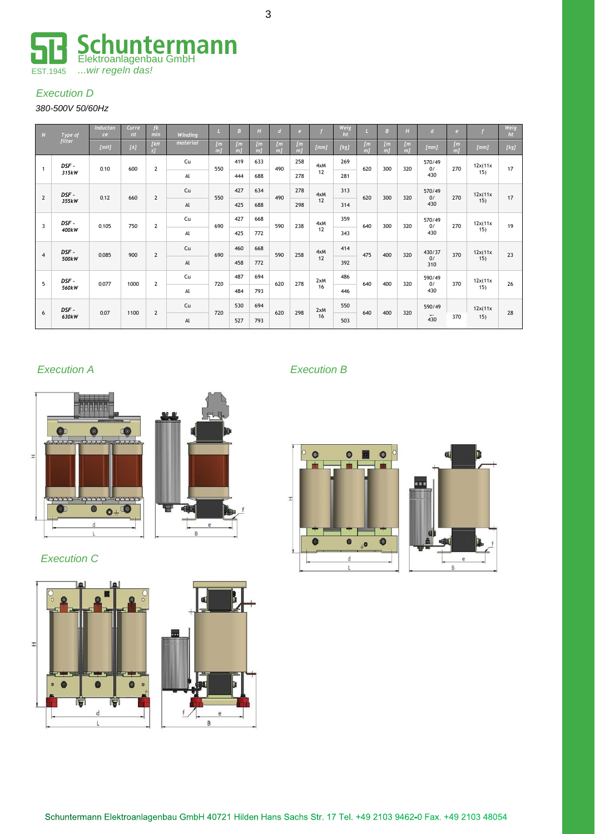

# *Execution D*

# *380-500V 50/60Hz*

| N              | Type of        | <b>Inductan</b><br>ce | Curre<br>$n_{\tau}$ | $f$ $k$<br>min | Winding       | $\mathbf{L}$              | B                     | H                              | $\overline{d}$                   | e                       |           | Weig<br>ht |                                | B                       | H                       | $\overline{d}$      | e                            |                            | Weig<br>ht |
|----------------|----------------|-----------------------|---------------------|----------------|---------------|---------------------------|-----------------------|--------------------------------|----------------------------------|-------------------------|-----------|------------|--------------------------------|-------------------------|-------------------------|---------------------|------------------------------|----------------------------|------------|
|                | <i>filter</i>  | [mH]                  | [A]                 | IkH<br>$z$ ]   | material      | [ <sub>m</sub> ]<br>$m$ ] | [ <i>m</i> ]<br>$m$ ] | [ <i>m</i> ]<br>m <sub>l</sub> | $\mathfrak{m}$<br>m <sub>l</sub> | $\mathfrak{m}$<br>$m$ ] | [mm]      | [kg]       | $\mathbf{m}$<br>m <sub>l</sub> | $\mathfrak{m}$<br>$m$ ] | $\mathfrak{m}$<br>$m$ ] | [mm]                | $\sqrt{m}$<br>m <sub>l</sub> | [mm]                       | [kg]       |
| $\overline{1}$ | DSF -<br>315kW | 0,10                  | 600                 | $\overline{2}$ | Cu            | 550                       | 419                   | 633                            | 490                              | 258                     | 4xM       | 269        | 620                            | 300                     | 320                     | 570/49<br>0/<br>430 | 270                          | 12x(11x<br>15)             | 17         |
|                |                |                       |                     |                | Al            |                           | 444                   | 688                            |                                  | 278                     | 12        | 281        |                                |                         |                         |                     |                              |                            |            |
| $\overline{2}$ | DSF -          | 0,12                  | 660                 | $\overline{2}$ | Cu            | 550                       | 427                   | 634                            | 490                              | 278                     | 4xM       | 313        | 620                            | 300                     | 320                     | 570/49<br>0/<br>430 | 270                          | 12x(11x<br>15)             | 17         |
|                | 355kW          |                       |                     |                | Al            |                           | 425                   | 688                            |                                  | 298                     | 12        | 314        |                                |                         |                         |                     |                              |                            |            |
| 3              | DSF -<br>400kW | 0,105                 | 750                 | $\overline{2}$ | Cu            | 690                       | 427                   | 668                            | 590                              | 238                     | 4xM<br>12 | 359        | 640                            | 300                     | 320                     | 570/49<br>0/<br>430 | 270                          | 12x(11x<br>15 <sub>1</sub> | 19         |
|                |                |                       |                     |                | Al            |                           | 425                   | 772                            |                                  |                         |           | 343        |                                |                         |                         |                     |                              |                            |            |
| $\overline{4}$ | DSF -<br>500kW | 0,085                 | 900                 | $\overline{2}$ | Cu            | 690                       | 460                   | 668                            | 590                              | 258                     | 4xM       | 414        | 475                            | 400                     | 320                     | 430/37<br>0/<br>310 | 370                          | 12x(11x<br>15)             | 23         |
|                |                |                       |                     |                | $\mathsf{Al}$ |                           | 458                   | 772                            |                                  |                         | 12        | 392        |                                |                         |                         |                     |                              |                            |            |
| 5              | DSF -<br>560kW | 0,077                 | 1000                | $\overline{2}$ | Cu            | 720                       | 487                   | 694                            | 620                              | 278                     | 2xM<br>16 | 486        | 640                            | 400                     | 320                     | 590/49<br>0/<br>430 | 370                          | 12x(11x<br>15)             | 26         |
|                |                |                       |                     |                | Al            |                           | 484                   | 793                            |                                  |                         |           | 446        |                                |                         |                         |                     |                              |                            |            |
|                | DSF -<br>630kW | 0,07                  | 1100                |                | Cu            | 720                       | 530                   | 694                            | 620                              | 298                     | 2xM<br>16 | 550        | 640                            | 400                     |                         | 590/49              |                              | 12x(11x                    | 28         |
| 6              |                |                       |                     | $\overline{2}$ | Al            |                           | 527                   | 793                            |                                  |                         |           | 503        |                                |                         | 320                     | 430                 | 370                          | 15)                        |            |



 *Execution C* 





# *Execution A Execution B*





3